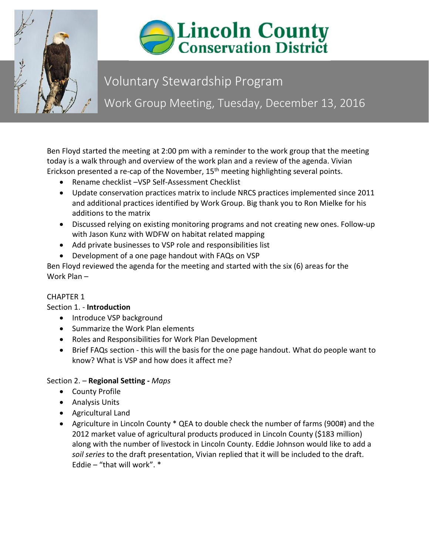



# Voluntary Stewardship Program Work Group Meeting, Tuesday, December 13, 2016

Ben Floyd started the meeting at 2:00 pm with a reminder to the work group that the meeting today is a walk through and overview of the work plan and a review of the agenda. Vivian Erickson presented a re-cap of the November, 15<sup>th</sup> meeting highlighting several points.

- Rename checklist –VSP Self-Assessment Checklist
- Update conservation practices matrix to include NRCS practices implemented since 2011 and additional practices identified by Work Group. Big thank you to Ron Mielke for his additions to the matrix
- Discussed relying on existing monitoring programs and not creating new ones. Follow-up with Jason Kunz with WDFW on habitat related mapping
- Add private businesses to VSP role and responsibilities list
- Development of a one page handout with FAQs on VSP

Ben Floyd reviewed the agenda for the meeting and started with the six (6) areas for the Work Plan –

# CHAPTER 1

## Section 1. - **Introduction**

- Introduce VSP background
- Summarize the Work Plan elements
- Roles and Responsibilities for Work Plan Development
- Brief FAQs section this will the basis for the one page handout. What do people want to know? What is VSP and how does it affect me?

## Section 2. – **Regional Setting -** *Maps*

- County Profile
- Analysis Units
- Agricultural Land
- Agriculture in Lincoln County \* QEA to double check the number of farms (900#) and the 2012 market value of agricultural products produced in Lincoln County (\$183 million) along with the number of livestock in Lincoln County. Eddie Johnson would like to add a *soil series* to the draft presentation, Vivian replied that it will be included to the draft. Eddie – "that will work".  $*$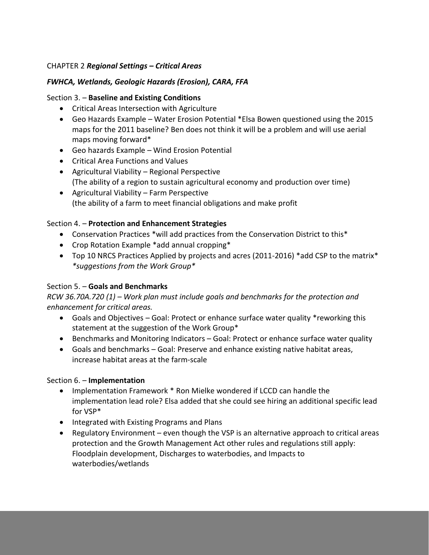## CHAPTER 2 *Regional Settings – Critical Areas*

### *FWHCA, Wetlands, Geologic Hazards (Erosion), CARA, FFA*

#### Section 3. – **Baseline and Existing Conditions**

- Critical Areas Intersection with Agriculture
- Geo Hazards Example Water Erosion Potential \*Elsa Bowen questioned using the 2015 maps for the 2011 baseline? Ben does not think it will be a problem and will use aerial maps moving forward\*
- Geo hazards Example Wind Erosion Potential
- Critical Area Functions and Values
- Agricultural Viability Regional Perspective (The ability of a region to sustain agricultural economy and production over time)
- Agricultural Viability Farm Perspective (the ability of a farm to meet financial obligations and make profit

#### Section 4. – **Protection and Enhancement Strategies**

- Conservation Practices \*will add practices from the Conservation District to this\*
- Crop Rotation Example \*add annual cropping\*
- Top 10 NRCS Practices Applied by projects and acres (2011-2016) \*add CSP to the matrix\* *\*suggestions from the Work Group\**

#### Section 5. – **Goals and Benchmarks**

*RCW 36.70A.720 (1) – Work plan must include goals and benchmarks for the protection and enhancement for critical areas.* 

- Goals and Objectives Goal: Protect or enhance surface water quality \*reworking this statement at the suggestion of the Work Group\*
- Benchmarks and Monitoring Indicators Goal: Protect or enhance surface water quality
- Goals and benchmarks Goal: Preserve and enhance existing native habitat areas, increase habitat areas at the farm-scale

#### Section 6. – **Implementation**

- Implementation Framework \* Ron Mielke wondered if LCCD can handle the implementation lead role? Elsa added that she could see hiring an additional specific lead for VSP\*
- Integrated with Existing Programs and Plans
- Regulatory Environment even though the VSP is an alternative approach to critical areas protection and the Growth Management Act other rules and regulations still apply: Floodplain development, Discharges to waterbodies, and Impacts to waterbodies/wetlands